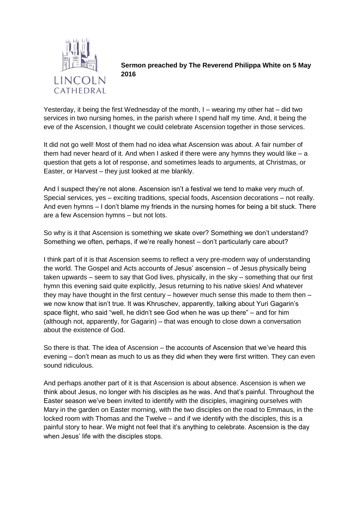

**Sermon preached by The Reverend Philippa White on 5 May 2016**

Yesterday, it being the first Wednesday of the month, I – wearing my other hat – did two services in two nursing homes, in the parish where I spend half my time. And, it being the eve of the Ascension, I thought we could celebrate Ascension together in those services.

It did not go well! Most of them had no idea what Ascension was about. A fair number of them had never heard of it. And when I asked if there were any hymns they would like  $- a$ question that gets a lot of response, and sometimes leads to arguments, at Christmas, or Easter, or Harvest – they just looked at me blankly.

And I suspect they're not alone. Ascension isn't a festival we tend to make very much of. Special services, yes – exciting traditions, special foods, Ascension decorations – not really. And even hymns – I don't blame my friends in the nursing homes for being a bit stuck. There are a few Ascension hymns – but not lots.

So why is it that Ascension is something we skate over? Something we don't understand? Something we often, perhaps, if we're really honest – don't particularly care about?

I think part of it is that Ascension seems to reflect a very pre-modern way of understanding the world. The Gospel and Acts accounts of Jesus' ascension – of Jesus physically being taken upwards – seem to say that God lives, physically, in the sky – something that our first hymn this evening said quite explicitly, Jesus returning to his native skies! And whatever they may have thought in the first century – however much sense this made to them then – we now know that isn't true. It was Khruschev, apparently, talking about Yuri Gagarin's space flight, who said "well, he didn't see God when he was up there" – and for him (although not, apparently, for Gagarin) – that was enough to close down a conversation about the existence of God.

So there is that. The idea of Ascension – the accounts of Ascension that we've heard this evening – don't mean as much to us as they did when they were first written. They can even sound ridiculous.

And perhaps another part of it is that Ascension is about absence. Ascension is when we think about Jesus, no longer with his disciples as he was. And that's painful. Throughout the Easter season we've been invited to identify with the disciples, imagining ourselves with Mary in the garden on Easter morning, with the two disciples on the road to Emmaus, in the locked room with Thomas and the Twelve – and if we identify with the disciples, this is a painful story to hear. We might not feel that it's anything to celebrate. Ascension is the day when Jesus' life with the disciples stops.